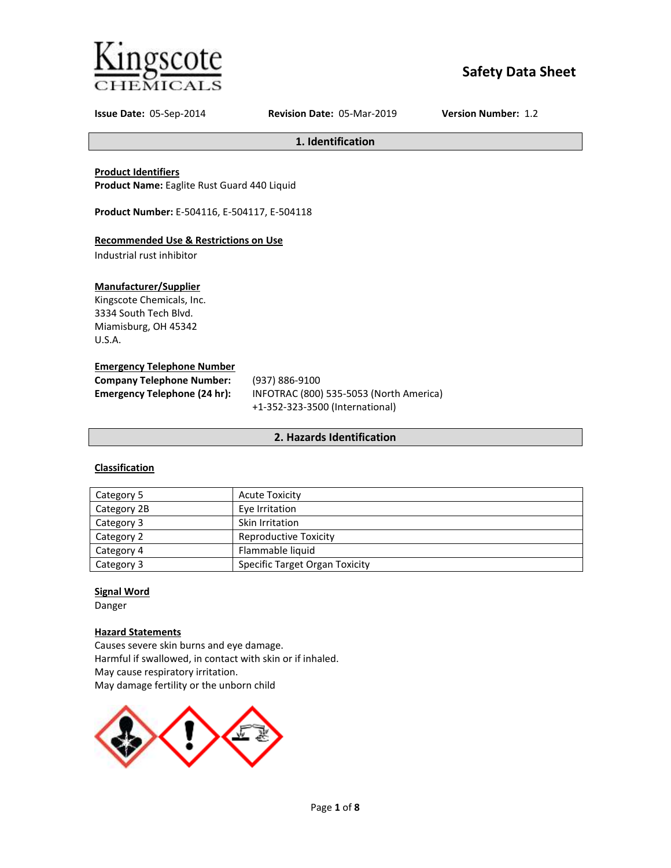

# **Safety Data Sheet**

**Issue Date:** 05-Sep-2014 **Revision Date:** 05-Mar-2019 **Version Number:** 1.2

**1. Identification**

# **Product Identifiers**

**Product Name:** Eaglite Rust Guard 440 Liquid

**Product Number:** E-504116, E-504117, E-504118

# **Recommended Use & Restrictions on Use**

Industrial rust inhibitor

# **Manufacturer/Supplier**

Kingscote Chemicals, Inc. 3334 South Tech Blvd. Miamisburg, OH 45342 U.S.A.

#### **Emergency Telephone Number**

| <b>Company Telephone Number:</b> | (937) 886-9100                          |
|----------------------------------|-----------------------------------------|
| Emergency Telephone (24 hr):     | INFOTRAC (800) 535-5053 (North America) |
|                                  | +1-352-323-3500 (International)         |

# **2. Hazards Identification**

# **Classification**

| Category 5  | <b>Acute Toxicity</b>                 |
|-------------|---------------------------------------|
| Category 2B | Eye Irritation                        |
| Category 3  | Skin Irritation                       |
| Category 2  | Reproductive Toxicity                 |
| Category 4  | Flammable liquid                      |
| Category 3  | <b>Specific Target Organ Toxicity</b> |

# **Signal Word**

Danger

# **Hazard Statements**

Causes severe skin burns and eye damage. Harmful if swallowed, in contact with skin or if inhaled. May cause respiratory irritation. May damage fertility or the unborn child

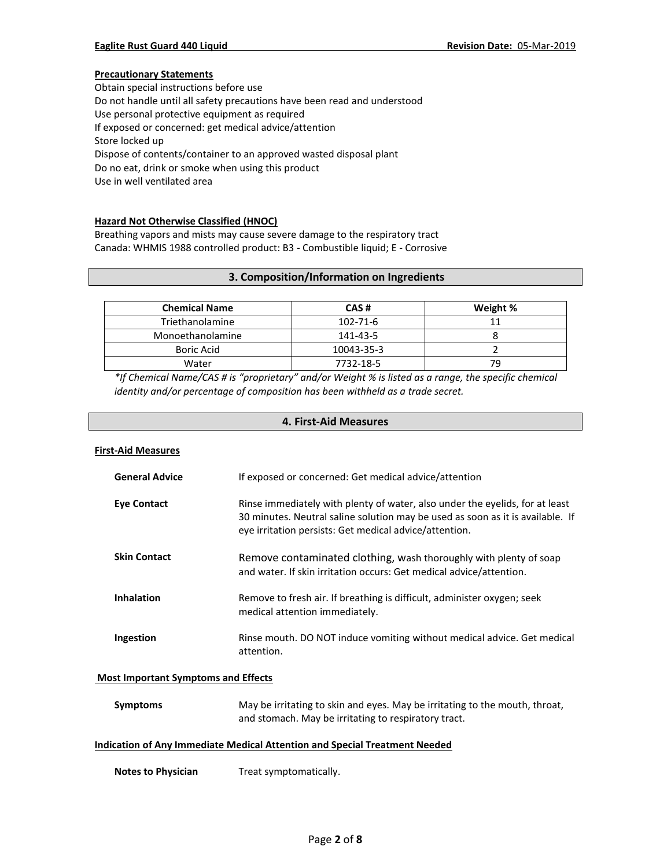# **Precautionary Statements**

Obtain special instructions before use Do not handle until all safety precautions have been read and understood Use personal protective equipment as required If exposed or concerned: get medical advice/attention Store locked up Dispose of contents/container to an approved wasted disposal plant Do no eat, drink or smoke when using this product Use in well ventilated area

### **Hazard Not Otherwise Classified (HNOC)**

Breathing vapors and mists may cause severe damage to the respiratory tract Canada: WHMIS 1988 controlled product: B3 - Combustible liquid; E - Corrosive

# **3. Composition/Information on Ingredients**

| <b>Chemical Name</b> | CAS#           | Weight % |
|----------------------|----------------|----------|
| Triethanolamine      | $102 - 71 - 6$ |          |
| Monoethanolamine     | 141-43-5       |          |
| <b>Boric Acid</b>    | 10043-35-3     |          |
| Water                | 7732-18-5      | 79       |

*\*If Chemical Name/CAS # is "proprietary" and/or Weight % is listed as a range, the specific chemical identity and/or percentage of composition has been withheld as a trade secret.*

# **4. First-Aid Measures**

#### **First-Aid Measures**

| <b>General Advice</b>                      | If exposed or concerned: Get medical advice/attention                                                                                                                                                                    |  |
|--------------------------------------------|--------------------------------------------------------------------------------------------------------------------------------------------------------------------------------------------------------------------------|--|
| <b>Eye Contact</b>                         | Rinse immediately with plenty of water, also under the eyelids, for at least<br>30 minutes. Neutral saline solution may be used as soon as it is available. If<br>eye irritation persists: Get medical advice/attention. |  |
| <b>Skin Contact</b>                        | Remove contaminated clothing, wash thoroughly with plenty of soap<br>and water. If skin irritation occurs: Get medical advice/attention.                                                                                 |  |
| <b>Inhalation</b>                          | Remove to fresh air. If breathing is difficult, administer oxygen; seek<br>medical attention immediately.                                                                                                                |  |
| Ingestion                                  | Rinse mouth. DO NOT induce vomiting without medical advice. Get medical<br>attention.                                                                                                                                    |  |
| <b>Most Important Symptoms and Effects</b> |                                                                                                                                                                                                                          |  |
| <b>Symptoms</b>                            | May be irritating to skin and eyes. May be irritating to the mouth, throat,<br>and stomach. May be irritating to respiratory tract.                                                                                      |  |

#### **Indication of Any Immediate Medical Attention and Special Treatment Needed**

**Notes to Physician** Treat symptomatically.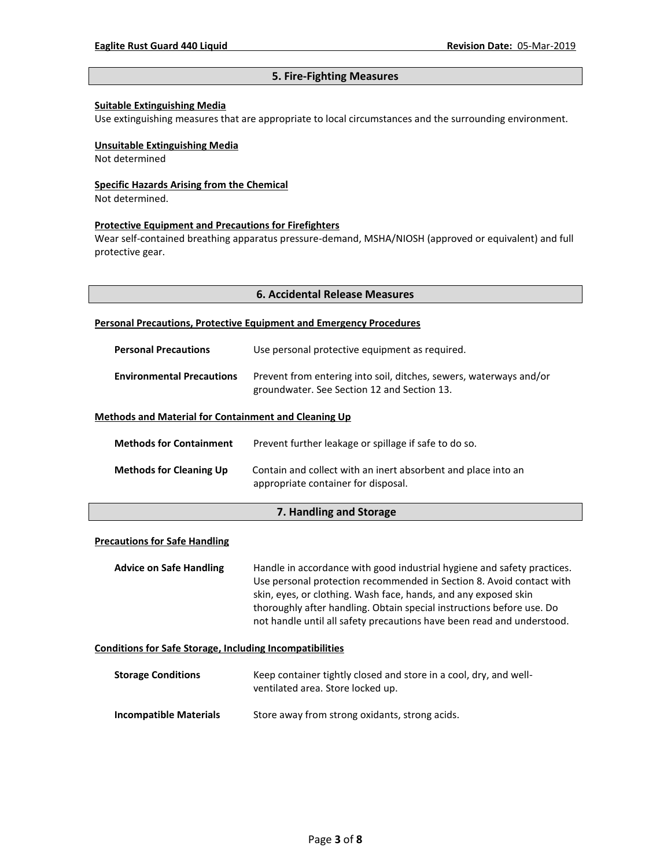# **5. Fire-Fighting Measures**

#### **Suitable Extinguishing Media**

Use extinguishing measures that are appropriate to local circumstances and the surrounding environment.

#### **Unsuitable Extinguishing Media**

Not determined

#### **Specific Hazards Arising from the Chemical**

Not determined.

#### **Protective Equipment and Precautions for Firefighters**

Wear self-contained breathing apparatus pressure-demand, MSHA/NIOSH (approved or equivalent) and full protective gear.

#### **Personal Precautions, Protective Equipment and Emergency Procedures**

| <b>Personal Precautions</b>                                 | Use personal protective equipment as required.                                                                    |
|-------------------------------------------------------------|-------------------------------------------------------------------------------------------------------------------|
| <b>Environmental Precautions</b>                            | Prevent from entering into soil, ditches, sewers, waterways and/or<br>groundwater. See Section 12 and Section 13. |
| <b>Methods and Material for Containment and Cleaning Up</b> |                                                                                                                   |

| <b>Methods for Containment</b> | Prevent further leakage or spillage if safe to do so.                                                |
|--------------------------------|------------------------------------------------------------------------------------------------------|
| <b>Methods for Cleaning Up</b> | Contain and collect with an inert absorbent and place into an<br>appropriate container for disposal. |

# **7. Handling and Storage**

# **Precautions for Safe Handling**

**Advice on Safe Handling** Handle in accordance with good industrial hygiene and safety practices. Use personal protection recommended in Section 8. Avoid contact with skin, eyes, or clothing. Wash face, hands, and any exposed skin thoroughly after handling. Obtain special instructions before use. Do not handle until all safety precautions have been read and understood.

#### **Conditions for Safe Storage, Including Incompatibilities**

| <b>Storage Conditions</b>     | Keep container tightly closed and store in a cool, dry, and well-<br>ventilated area. Store locked up. |
|-------------------------------|--------------------------------------------------------------------------------------------------------|
| <b>Incompatible Materials</b> | Store away from strong oxidants, strong acids.                                                         |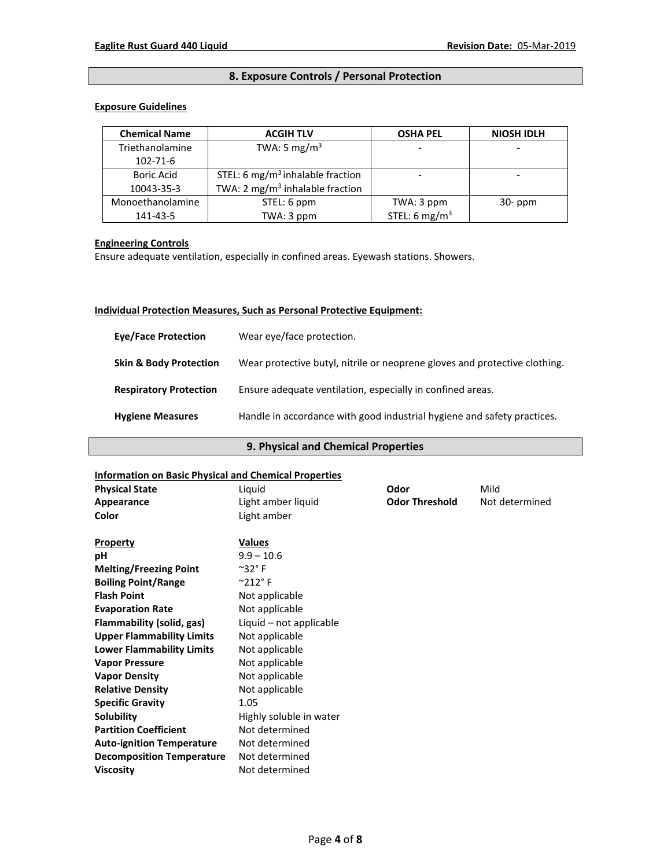# **8. Exposure Controls / Personal Protection**

## **Exposure Guidelines**

| <b>Chemical Name</b> | <b>ACGIH TLV</b>                             | <b>OSHA PEL</b>           | <b>NIOSH IDLH</b> |
|----------------------|----------------------------------------------|---------------------------|-------------------|
| Triethanolamine      | TWA: 5 mg/m <sup>3</sup>                     |                           |                   |
| 102-71-6             |                                              |                           |                   |
| <b>Boric Acid</b>    | STEL: 6 mg/m <sup>3</sup> inhalable fraction |                           |                   |
| 10043-35-3           | TWA: 2 mg/ $m3$ inhalable fraction           |                           |                   |
| Monoethanolamine     | STEL: 6 ppm                                  | TWA: 3 ppm                | $30-ppm$          |
| 141-43-5             | TWA: 3 ppm                                   | STEL: 6 mg/m <sup>3</sup> |                   |

# **Engineering Controls**

Ensure adequate ventilation, especially in confined areas. Eyewash stations. Showers.

# **Individual Protection Measures, Such as Personal Protective Equipment:**

| <b>Eve/Face Protection</b>        | Wear eye/face protection.                                                  |
|-----------------------------------|----------------------------------------------------------------------------|
| <b>Skin &amp; Body Protection</b> | Wear protective butyl, nitrile or neoprene gloves and protective clothing. |
| <b>Respiratory Protection</b>     | Ensure adequate ventilation, especially in confined areas.                 |
| <b>Hygiene Measures</b>           | Handle in accordance with good industrial hygiene and safety practices.    |

# **9. Physical and Chemical Properties**

### **Information on Basic Physical and Chemical Properties**

| <b>Physical State</b>            | Liquid                    | Odor                  | Mild           |
|----------------------------------|---------------------------|-----------------------|----------------|
| Appearance                       | Light amber liquid        | <b>Odor Threshold</b> | Not determined |
| Color                            | Light amber               |                       |                |
| <b>Property</b>                  | <b>Values</b>             |                       |                |
| рH                               | $9.9 - 10.6$              |                       |                |
| <b>Melting/Freezing Point</b>    | $^{\sim}$ 32 $^{\circ}$ F |                       |                |
| <b>Boiling Point/Range</b>       | $^{\circ}212^{\circ}$ F   |                       |                |
| <b>Flash Point</b>               | Not applicable            |                       |                |
| <b>Evaporation Rate</b>          | Not applicable            |                       |                |
| Flammability (solid, gas)        | Liquid - not applicable   |                       |                |
| <b>Upper Flammability Limits</b> | Not applicable            |                       |                |
| <b>Lower Flammability Limits</b> | Not applicable            |                       |                |
| <b>Vapor Pressure</b>            | Not applicable            |                       |                |
| <b>Vapor Density</b>             | Not applicable            |                       |                |
| <b>Relative Density</b>          | Not applicable            |                       |                |
| <b>Specific Gravity</b>          | 1.05                      |                       |                |
| Solubility                       | Highly soluble in water   |                       |                |
| <b>Partition Coefficient</b>     | Not determined            |                       |                |
| <b>Auto-ignition Temperature</b> | Not determined            |                       |                |
| <b>Decomposition Temperature</b> | Not determined            |                       |                |
| <b>Viscosity</b>                 | Not determined            |                       |                |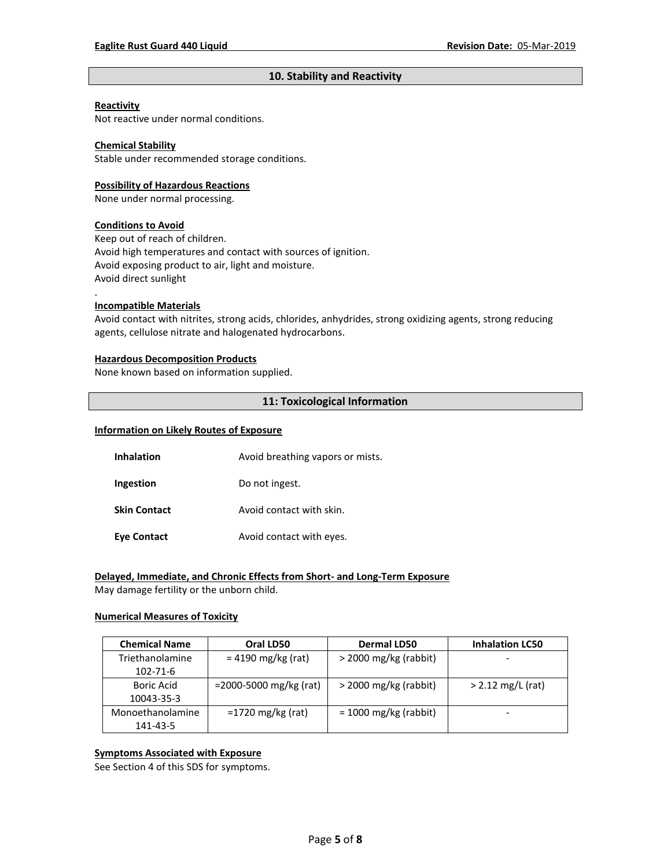# **10. Stability and Reactivity**

#### **Reactivity**

Not reactive under normal conditions.

### **Chemical Stability**

Stable under recommended storage conditions.

#### **Possibility of Hazardous Reactions**

None under normal processing.

#### **Conditions to Avoid**

Keep out of reach of children. Avoid high temperatures and contact with sources of ignition. Avoid exposing product to air, light and moisture. Avoid direct sunlight

#### **Incompatible Materials**

.

Avoid contact with nitrites, strong acids, chlorides, anhydrides, strong oxidizing agents, strong reducing agents, cellulose nitrate and halogenated hydrocarbons.

#### **Hazardous Decomposition Products**

None known based on information supplied.

#### **11: Toxicological Information**

#### **Information on Likely Routes of Exposure**

| Inhalation          | Avoid breathing vapors or mists. |
|---------------------|----------------------------------|
| Ingestion           | Do not ingest.                   |
| <b>Skin Contact</b> | Avoid contact with skin.         |
| <b>Eye Contact</b>  | Avoid contact with eyes.         |

# **Delayed, Immediate, and Chronic Effects from Short- and Long-Term Exposure**

May damage fertility or the unborn child.

#### **Numerical Measures of Toxicity**

| <b>Chemical Name</b> | Oral LD50                 | <b>Dermal LD50</b>      | <b>Inhalation LC50</b> |
|----------------------|---------------------------|-------------------------|------------------------|
| Triethanolamine      | $= 4190$ mg/kg (rat)      | $>$ 2000 mg/kg (rabbit) |                        |
| 102-71-6             |                           |                         |                        |
| <b>Boric Acid</b>    | $=$ 2000-5000 mg/kg (rat) | $>$ 2000 mg/kg (rabbit) | $> 2.12$ mg/L (rat)    |
| 10043-35-3           |                           |                         |                        |
| Monoethanolamine     | $=1720$ mg/kg (rat)       | $= 1000$ mg/kg (rabbit) |                        |
| 141-43-5             |                           |                         |                        |

# **Symptoms Associated with Exposure**

See Section 4 of this SDS for symptoms.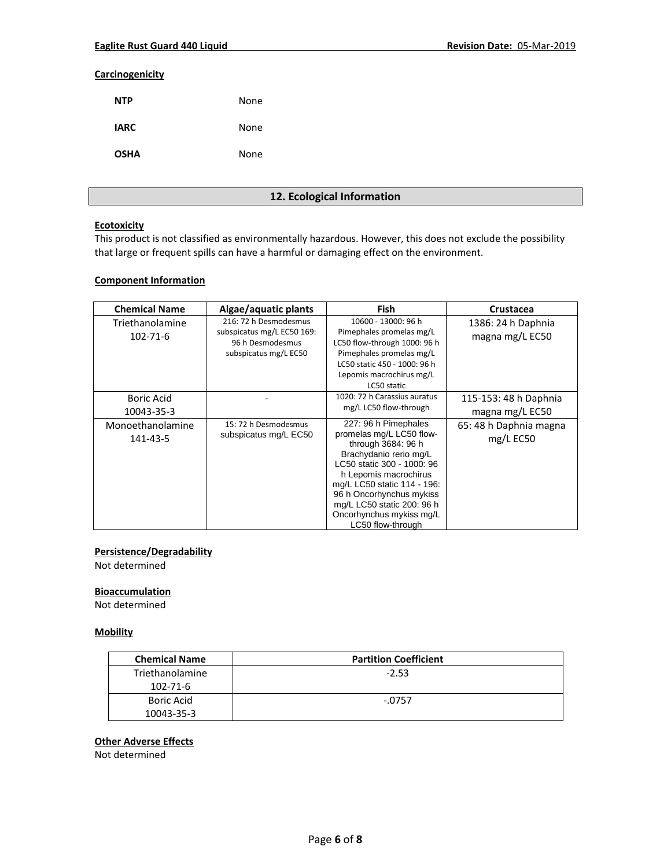### **Carcinogenicity**

| <b>NTP</b>  | None |
|-------------|------|
| <b>IARC</b> | None |
| <b>OSHA</b> | None |

# **12. Ecological Information**

#### **Ecotoxicity**

This product is not classified as environmentally hazardous. However, this does not exclude the possibility that large or frequent spills can have a harmful or damaging effect on the environment.

# **Component Information**

| <b>Chemical Name</b>         | Algae/aquatic plants                                                                             | <b>Fish</b>                                                                                                                                                                                                                                                                                       | <b>Crustacea</b>                         |
|------------------------------|--------------------------------------------------------------------------------------------------|---------------------------------------------------------------------------------------------------------------------------------------------------------------------------------------------------------------------------------------------------------------------------------------------------|------------------------------------------|
| Triethanolamine<br>102-71-6  | 216: 72 h Desmodesmus<br>subspicatus mg/L EC50 169:<br>96 h Desmodesmus<br>subspicatus mg/L EC50 | 10600 - 13000: 96 h<br>Pimephales promelas mg/L<br>LC50 flow-through 1000: 96 h<br>Pimephales promelas mg/L<br>LC50 static 450 - 1000: 96 h<br>Lepomis macrochirus mg/L<br>LC50 static                                                                                                            | 1386: 24 h Daphnia<br>magna mg/L EC50    |
| Boric Acid<br>10043-35-3     |                                                                                                  | 1020: 72 h Carassius auratus<br>mg/L LC50 flow-through                                                                                                                                                                                                                                            | 115-153: 48 h Daphnia<br>magna mg/L EC50 |
| Monoethanolamine<br>141-43-5 | 15: 72 h Desmodesmus<br>subspicatus mg/L EC50                                                    | 227: 96 h Pimephales<br>promelas mg/L LC50 flow-<br>through 3684: 96 h<br>Brachydanio rerio mg/L<br>LC50 static 300 - 1000: 96<br>h Lepomis macrochirus<br>mg/L LC50 static 114 - 196:<br>96 h Oncorhynchus mykiss<br>mg/L LC50 static 200: 96 h<br>Oncorhynchus mykiss mg/L<br>LC50 flow-through | 65: 48 h Daphnia magna<br>$mg/L$ EC50    |

#### **Persistence/Degradability**

Not determined

# **Bioaccumulation**

Not determined

# **Mobility**

| <b>Chemical Name</b> | <b>Partition Coefficient</b> |
|----------------------|------------------------------|
| Triethanolamine      | $-2.53$                      |
| 102-71-6             |                              |
| Boric Acid           | -.0757                       |
| 10043-35-3           |                              |

# **Other Adverse Effects**

Not determined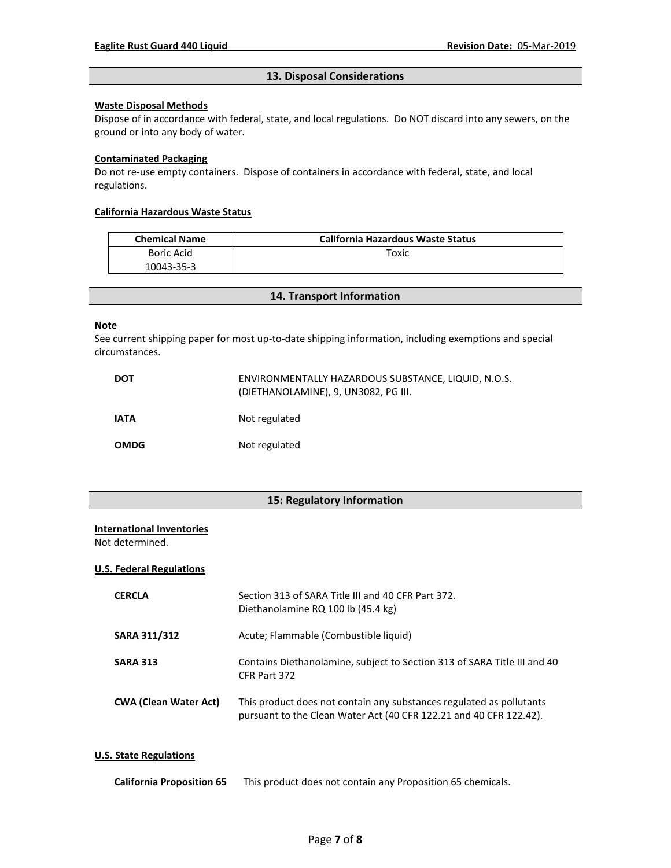### **13. Disposal Considerations**

# **Waste Disposal Methods**

Dispose of in accordance with federal, state, and local regulations. Do NOT discard into any sewers, on the ground or into any body of water.

#### **Contaminated Packaging**

Do not re-use empty containers.Dispose of containers in accordance with federal, state, and local regulations.

### **California Hazardous Waste Status**

| <b>Chemical Name</b> | <b>California Hazardous Waste Status</b> |
|----------------------|------------------------------------------|
| Boric Acid           | Toxic                                    |
| 10043-35-3           |                                          |

**14. Transport Information**

#### **Note**

See current shipping paper for most up-to-date shipping information, including exemptions and special circumstances.

| <b>DOT</b>  | ENVIRONMENTALLY HAZARDOUS SUBSTANCE, LIQUID, N.O.S.<br>(DIETHANOLAMINE), 9, UN3082, PG III. |
|-------------|---------------------------------------------------------------------------------------------|
| <b>IATA</b> | Not regulated                                                                               |
| <b>OMDG</b> | Not regulated                                                                               |

# **15: Regulatory Information**

#### **International Inventories**

Not determined.

#### **U.S. Federal Regulations**

| <b>CERCLA</b>                | Section 313 of SARA Title III and 40 CFR Part 372.<br>Diethanolamine RQ 100 lb (45.4 kg)                                                   |
|------------------------------|--------------------------------------------------------------------------------------------------------------------------------------------|
| <b>SARA 311/312</b>          | Acute; Flammable (Combustible liquid)                                                                                                      |
| <b>SARA 313</b>              | Contains Diethanolamine, subject to Section 313 of SARA Title III and 40<br>CFR Part 372                                                   |
| <b>CWA (Clean Water Act)</b> | This product does not contain any substances regulated as pollutants<br>pursuant to the Clean Water Act (40 CFR 122.21 and 40 CFR 122.42). |

# **U.S. State Regulations**

| <b>California Proposition 65</b> |  | This product does not contain any Proposition 65 chemicals. |
|----------------------------------|--|-------------------------------------------------------------|
|----------------------------------|--|-------------------------------------------------------------|